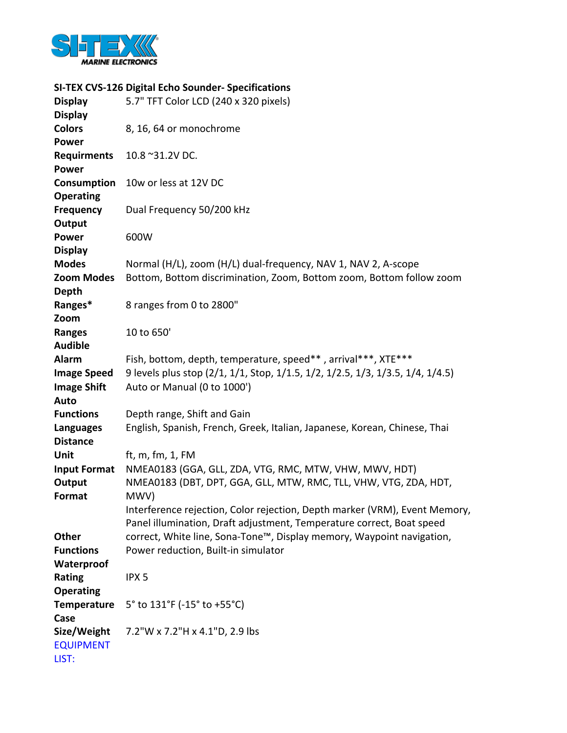

## SI-TEX CVS-126 Digital Echo Sounder- Specifications

| <b>Display</b><br><b>Display</b>                        | 5.7" TFT Color LCD (240 x 320 pixels)                                                                                                                       |
|---------------------------------------------------------|-------------------------------------------------------------------------------------------------------------------------------------------------------------|
| <b>Colors</b><br><b>Power</b>                           | 8, 16, 64 or monochrome                                                                                                                                     |
| <b>Requirments</b><br><b>Power</b>                      | 10.8 ~31.2V DC.                                                                                                                                             |
| Consumption<br><b>Operating</b>                         | 10w or less at 12V DC                                                                                                                                       |
| <b>Frequency</b><br>Output                              | Dual Frequency 50/200 kHz                                                                                                                                   |
| <b>Power</b><br><b>Display</b>                          | 600W                                                                                                                                                        |
| <b>Modes</b><br><b>Zoom Modes</b>                       | Normal (H/L), zoom (H/L) dual-frequency, NAV 1, NAV 2, A-scope                                                                                              |
| <b>Depth</b>                                            | Bottom, Bottom discrimination, Zoom, Bottom zoom, Bottom follow zoom                                                                                        |
| Ranges*<br>Zoom                                         | 8 ranges from 0 to 2800"                                                                                                                                    |
| <b>Ranges</b><br><b>Audible</b>                         | 10 to 650'                                                                                                                                                  |
| <b>Alarm</b><br><b>Image Speed</b>                      | Fish, bottom, depth, temperature, speed**, arrival***, XTE***<br>9 levels plus stop (2/1, 1/1, Stop, 1/1.5, 1/2, 1/2.5, 1/3, 1/3.5, 1/4, 1/4.5)             |
| <b>Image Shift</b><br>Auto                              | Auto or Manual (0 to 1000')                                                                                                                                 |
| <b>Functions</b><br><b>Languages</b><br><b>Distance</b> | Depth range, Shift and Gain<br>English, Spanish, French, Greek, Italian, Japanese, Korean, Chinese, Thai                                                    |
| Unit                                                    | ft, m, fm, 1, FM                                                                                                                                            |
| <b>Input Format</b><br>Output                           | NMEA0183 (GGA, GLL, ZDA, VTG, RMC, MTW, VHW, MWV, HDT)<br>NMEA0183 (DBT, DPT, GGA, GLL, MTW, RMC, TLL, VHW, VTG, ZDA, HDT,                                  |
| Format                                                  | MWV)<br>Interference rejection, Color rejection, Depth marker (VRM), Event Memory,<br>Panel illumination, Draft adjustment, Temperature correct, Boat speed |
| <b>Other</b><br><b>Functions</b>                        | correct, White line, Sona-Tone™, Display memory, Waypoint navigation,<br>Power reduction, Built-in simulator                                                |
| Waterproof<br>Rating                                    | IPX <sub>5</sub>                                                                                                                                            |
| <b>Operating</b><br><b>Temperature</b>                  | 5° to 131°F (-15° to +55°C)                                                                                                                                 |
| Case<br>Size/Weight                                     | 7.2"W x 7.2"H x 4.1"D, 2.9 lbs                                                                                                                              |
| <b>EQUIPMENT</b><br>LIST:                               |                                                                                                                                                             |